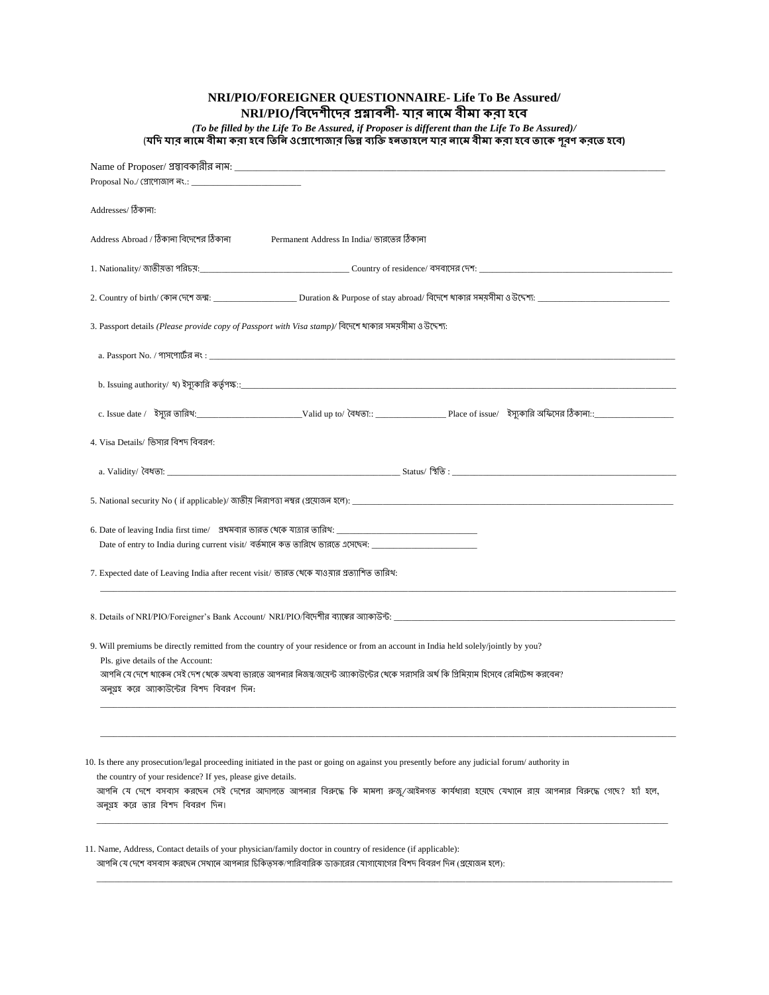**NRI/PIO/FOREIGNER QUESTIONNAIRE- Life To Be Assured/ NRI/PIO/ -** 

*(To be filled by the Life To Be Assured, if Proposer is different than the Life To Be Assured)/* (যদি যাব লামে বীমা ক**বা হবে তিলি ওপ্ৰোপোজাব ভিন্ন ব্যক্তি হলতাহ**লে যাব লামে বীমা কবা হবে তাকে পূবণ কবতে হবে)

| Name of Proposer/ প্রস্তাবকারীর নাম: $\blacksquare$                                                                                                                                                                                                                                                                                                                                          |
|----------------------------------------------------------------------------------------------------------------------------------------------------------------------------------------------------------------------------------------------------------------------------------------------------------------------------------------------------------------------------------------------|
| Addresses/ ঠিকানা:                                                                                                                                                                                                                                                                                                                                                                           |
| Address Abroad / ঠিকালা বিদেশের ঠিকালা<br>Permanent Address In India/ ভারতের ঠিকানা                                                                                                                                                                                                                                                                                                          |
|                                                                                                                                                                                                                                                                                                                                                                                              |
|                                                                                                                                                                                                                                                                                                                                                                                              |
| 3. Passport details (Please provide copy of Passport with Visa stamp)/ বিদেশে থাকার সময়সীমা ও উদ্দেশ্য:                                                                                                                                                                                                                                                                                     |
|                                                                                                                                                                                                                                                                                                                                                                                              |
|                                                                                                                                                                                                                                                                                                                                                                                              |
|                                                                                                                                                                                                                                                                                                                                                                                              |
| 4. Visa Details/ ভিসার বিশদ বিবরণ:                                                                                                                                                                                                                                                                                                                                                           |
|                                                                                                                                                                                                                                                                                                                                                                                              |
|                                                                                                                                                                                                                                                                                                                                                                                              |
| Date of entry to India during current visit/ বর্তমানে কত তারিথে ভারতে এসেছেন: ______________________                                                                                                                                                                                                                                                                                         |
| 7. Expected date of Leaving India after recent visit/ ভারত থেকে যাওয়ার প্রত্যাশিত তারিখ:                                                                                                                                                                                                                                                                                                    |
|                                                                                                                                                                                                                                                                                                                                                                                              |
| 9. Will premiums be directly remitted from the country of your residence or from an account in India held solely/jointly by you?<br>Pls. give details of the Account:<br>আপনি যে দেশে খাকেন সেই দেশ খেকে অথবা ভারতে আপনার নিজস্ব/জয়েন্ট অ্যাকাউন্টের খেকে সরাসরি অর্থ কি প্রিমিয়াম হিসেবে রেমিটেন্স করবেন?<br>অনুগ্রহ করে অ্যাকাউন্টের বিশদ বিবরণ দিন:                                     |
|                                                                                                                                                                                                                                                                                                                                                                                              |
| 10. Is there any prosecution/legal proceeding initiated in the past or going on against you presently before any judicial forum/ authority in<br>the country of your residence? If yes, please give details.<br>আপনি যে দেশে বসবাস করছেন সেই দেশের আদালতে আপনার বিরুদ্ধে কি মামলা রুজু/আইনগত কার্যধারা হয়েছে যেখানে রায় আপনার বিরুদ্ধে গেছে? হ্যাঁ হলে,<br>অনুগ্রহ করে তার বিশদ বিবরণ দিন। |
| 11. Name, Address, Contact details of your physician/family doctor in country of residence (if applicable):<br>আপনি যে দেশে বসবাস করছেন সেখানে আপনার চিকিত্সক/পারিবারিক ডাক্তারের যোগাযোগের বিশদ বিবরণ দিন (প্রযোজন হলে):                                                                                                                                                                    |